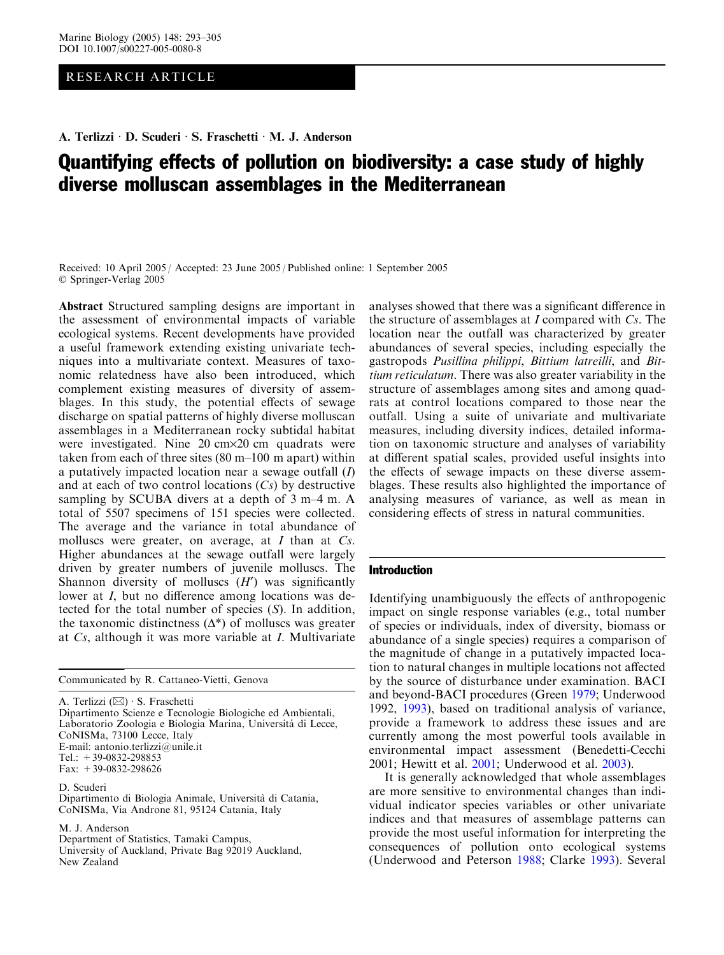# RESEARCH ARTICLE

A. Terlizzi · D. Scuderi · S. Fraschetti · M. J. Anderson

# Quantifying effects of pollution on biodiversity: a case study of highly diverse molluscan assemblages in the Mediterranean

Received: 10 April 2005 / Accepted: 23 June 2005 / Published online: 1 September 2005 Springer-Verlag 2005

Abstract Structured sampling designs are important in the assessment of environmental impacts of variable ecological systems. Recent developments have provided a useful framework extending existing univariate techniques into a multivariate context. Measures of taxonomic relatedness have also been introduced, which complement existing measures of diversity of assemblages. In this study, the potential effects of sewage discharge on spatial patterns of highly diverse molluscan assemblages in a Mediterranean rocky subtidal habitat were investigated. Nine 20 cm×20 cm quadrats were taken from each of three sites (80 m–100 m apart) within a putatively impacted location near a sewage outfall  $(I)$ and at each of two control locations  $(Cs)$  by destructive sampling by SCUBA divers at a depth of 3 m–4 m. A total of 5507 specimens of 151 species were collected. The average and the variance in total abundance of molluscs were greater, on average, at  $I$  than at  $Cs$ . Higher abundances at the sewage outfall were largely driven by greater numbers of juvenile molluscs. The Shannon diversity of molluscs  $(H')$  was significantly lower at I, but no difference among locations was detected for the total number of species (S). In addition, the taxonomic distinctness  $(\Delta^*)$  of molluscs was greater at Cs, although it was more variable at I. Multivariate

Communicated by R. Cattaneo-Vietti, Genova

A. Terlizzi $(\boxtimes) \cdot$ S. Fraschetti Dipartimento Scienze e Tecnologie Biologiche ed Ambientali, Laboratorio Zoologia e Biologia Marina, Universitá di Lecce, CoNISMa, 73100 Lecce, Italy E-mail: antonio.terlizzi@unile.it Tel.:  $+39-0832-298853$ Fax: +39-0832-298626

D. Scuderi

Dipartimento di Biologia Animale, Universita` di Catania, CoNISMa, Via Androne 81, 95124 Catania, Italy

M. J. Anderson

Department of Statistics, Tamaki Campus,

University of Auckland, Private Bag 92019 Auckland, New Zealand

analyses showed that there was a significant difference in the structure of assemblages at  $I$  compared with  $Cs$ . The location near the outfall was characterized by greater abundances of several species, including especially the gastropods Pusillina philippi, Bittium latreilli, and Bittium reticulatum. There was also greater variability in the structure of assemblages among sites and among quadrats at control locations compared to those near the outfall. Using a suite of univariate and multivariate measures, including diversity indices, detailed information on taxonomic structure and analyses of variability at different spatial scales, provided useful insights into the effects of sewage impacts on these diverse assemblages. These results also highlighted the importance of analysing measures of variance, as well as mean in considering effects of stress in natural communities.

#### Introduction

Identifying unambiguously the effects of anthropogenic impact on single response variables (e.g., total number of species or individuals, index of diversity, biomass or abundance of a single species) requires a comparison of the magnitude of change in a putatively impacted location to natural changes in multiple locations not affected by the source of disturbance under examination. BACI and beyond-BACI procedures (Green 1979; Underwood 1992, 1993), based on traditional analysis of variance, provide a framework to address these issues and are currently among the most powerful tools available in environmental impact assessment (Benedetti-Cecchi 2001; Hewitt et al. 2001; Underwood et al. 2003).

It is generally acknowledged that whole assemblages are more sensitive to environmental changes than individual indicator species variables or other univariate indices and that measures of assemblage patterns can provide the most useful information for interpreting the consequences of pollution onto ecological systems (Underwood and Peterson 1988; Clarke 1993). Several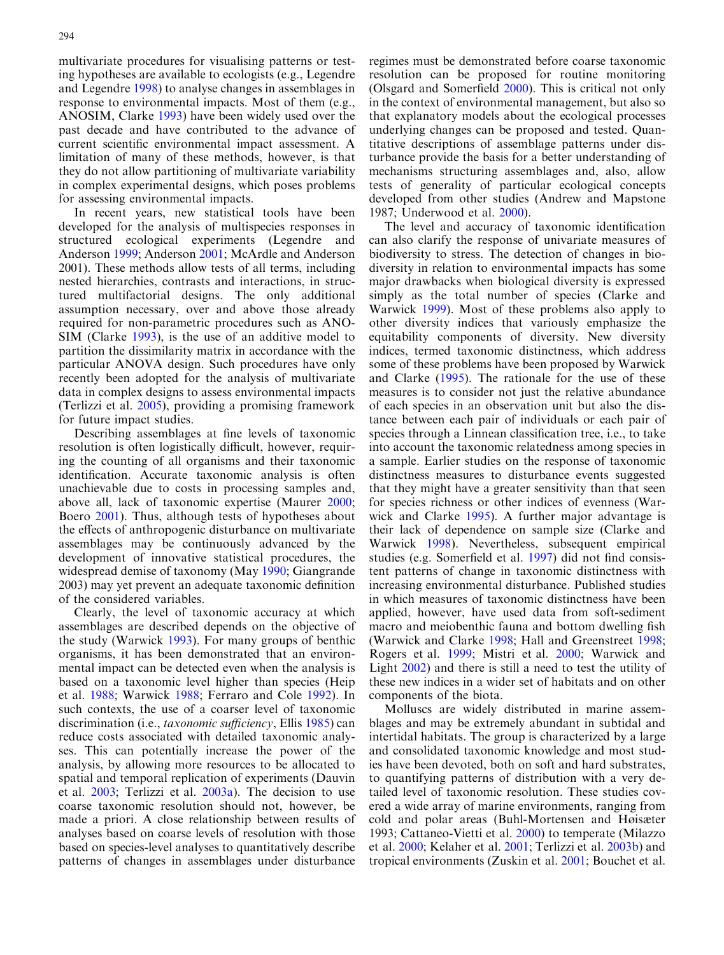multivariate procedures for visualising patterns or testing hypotheses are available to ecologists (e.g., Legendre and Legendre 1998) to analyse changes in assemblages in response to environmental impacts. Most of them (e.g., ANOSIM, Clarke 1993) have been widely used over the past decade and have contributed to the advance of current scientific environmental impact assessment. A limitation of many of these methods, however, is that they do not allow partitioning of multivariate variability in complex experimental designs, which poses problems for assessing environmental impacts.

In recent years, new statistical tools have been developed for the analysis of multispecies responses in structured ecological experiments (Legendre and Anderson 1999; Anderson 2001; McArdle and Anderson 2001). These methods allow tests of all terms, including nested hierarchies, contrasts and interactions, in structured multifactorial designs. The only additional assumption necessary, over and above those already required for non-parametric procedures such as ANO-SIM (Clarke 1993), is the use of an additive model to partition the dissimilarity matrix in accordance with the particular ANOVA design. Such procedures have only recently been adopted for the analysis of multivariate data in complex designs to assess environmental impacts (Terlizzi et al. 2005), providing a promising framework for future impact studies.

Describing assemblages at fine levels of taxonomic resolution is often logistically difficult, however, requiring the counting of all organisms and their taxonomic identification. Accurate taxonomic analysis is often unachievable due to costs in processing samples and, above all, lack of taxonomic expertise (Maurer 2000; Boero 2001). Thus, although tests of hypotheses about the effects of anthropogenic disturbance on multivariate assemblages may be continuously advanced by the development of innovative statistical procedures, the widespread demise of taxonomy (May 1990; Giangrande 2003) may yet prevent an adequate taxonomic definition of the considered variables.

Clearly, the level of taxonomic accuracy at which assemblages are described depends on the objective of the study (Warwick 1993). For many groups of benthic organisms, it has been demonstrated that an environmental impact can be detected even when the analysis is based on a taxonomic level higher than species (Heip et al. 1988; Warwick 1988; Ferraro and Cole 1992). In such contexts, the use of a coarser level of taxonomic discrimination (i.e., *taxonomic sufficiency*, Ellis 1985) can reduce costs associated with detailed taxonomic analyses. This can potentially increase the power of the analysis, by allowing more resources to be allocated to spatial and temporal replication of experiments (Dauvin et al. 2003; Terlizzi et al. 2003a). The decision to use coarse taxonomic resolution should not, however, be made a priori. A close relationship between results of analyses based on coarse levels of resolution with those based on species-level analyses to quantitatively describe patterns of changes in assemblages under disturbance

regimes must be demonstrated before coarse taxonomic resolution can be proposed for routine monitoring (Olsgard and Somerfield 2000). This is critical not only in the context of environmental management, but also so that explanatory models about the ecological processes underlying changes can be proposed and tested. Quantitative descriptions of assemblage patterns under disturbance provide the basis for a better understanding of mechanisms structuring assemblages and, also, allow tests of generality of particular ecological concepts developed from other studies (Andrew and Mapstone 1987; Underwood et al. 2000).

The level and accuracy of taxonomic identification can also clarify the response of univariate measures of biodiversity to stress. The detection of changes in biodiversity in relation to environmental impacts has some major drawbacks when biological diversity is expressed simply as the total number of species (Clarke and Warwick 1999). Most of these problems also apply to other diversity indices that variously emphasize the equitability components of diversity. New diversity indices, termed taxonomic distinctness, which address some of these problems have been proposed by Warwick and Clarke (1995). The rationale for the use of these measures is to consider not just the relative abundance of each species in an observation unit but also the distance between each pair of individuals or each pair of species through a Linnean classification tree, i.e., to take into account the taxonomic relatedness among species in a sample. Earlier studies on the response of taxonomic distinctness measures to disturbance events suggested that they might have a greater sensitivity than that seen for species richness or other indices of evenness (Warwick and Clarke 1995). A further major advantage is their lack of dependence on sample size (Clarke and Warwick 1998). Nevertheless, subsequent empirical studies (e.g. Somerfield et al. 1997) did not find consistent patterns of change in taxonomic distinctness with increasing environmental disturbance. Published studies in which measures of taxonomic distinctness have been applied, however, have used data from soft-sediment macro and meiobenthic fauna and bottom dwelling fish (Warwick and Clarke 1998; Hall and Greenstreet 1998; Rogers et al. 1999; Mistri et al. 2000; Warwick and Light 2002) and there is still a need to test the utility of these new indices in a wider set of habitats and on other components of the biota.

Molluscs are widely distributed in marine assemblages and may be extremely abundant in subtidal and intertidal habitats. The group is characterized by a large and consolidated taxonomic knowledge and most studies have been devoted, both on soft and hard substrates, to quantifying patterns of distribution with a very detailed level of taxonomic resolution. These studies covered a wide array of marine environments, ranging from cold and polar areas (Buhl-Mortensen and Høisæter 1993; Cattaneo-Vietti et al. 2000) to temperate (Milazzo et al. 2000; Kelaher et al. 2001; Terlizzi et al. 2003b) and tropical environments (Zuskin et al. 2001; Bouchet et al.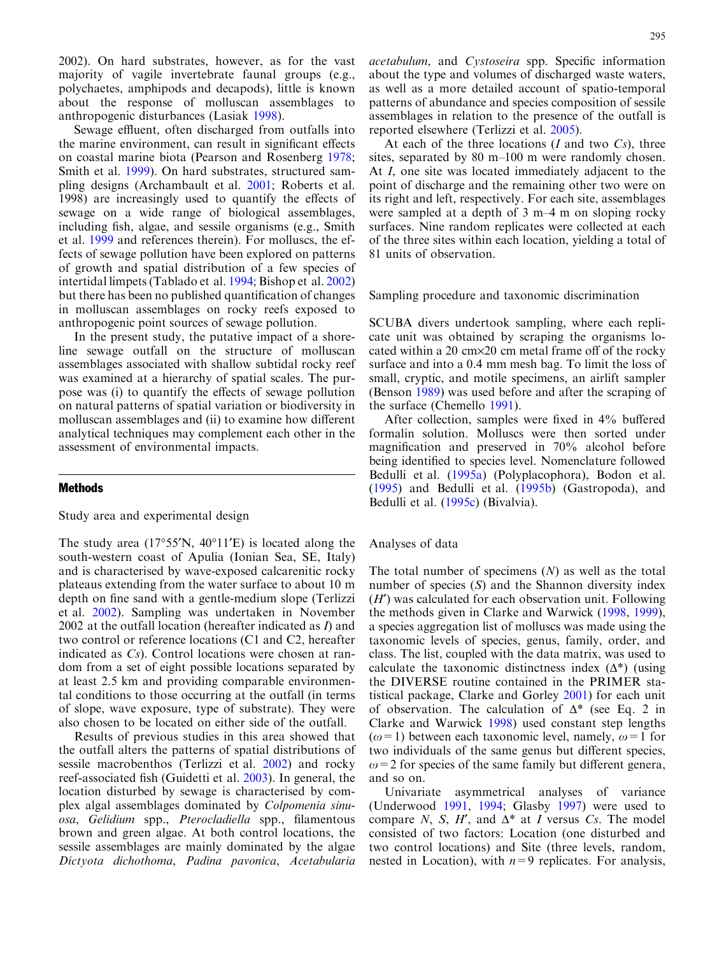2002). On hard substrates, however, as for the vast majority of vagile invertebrate faunal groups (e.g., polychaetes, amphipods and decapods), little is known about the response of molluscan assemblages to anthropogenic disturbances (Lasiak 1998).

Sewage effluent, often discharged from outfalls into the marine environment, can result in significant effects on coastal marine biota (Pearson and Rosenberg 1978; Smith et al. 1999). On hard substrates, structured sampling designs (Archambault et al. 2001; Roberts et al. 1998) are increasingly used to quantify the effects of sewage on a wide range of biological assemblages, including fish, algae, and sessile organisms (e.g., Smith et al. 1999 and references therein). For molluscs, the effects of sewage pollution have been explored on patterns of growth and spatial distribution of a few species of intertidal limpets (Tablado et al. 1994; Bishop et al. 2002) but there has been no published quantification of changes in molluscan assemblages on rocky reefs exposed to anthropogenic point sources of sewage pollution.

In the present study, the putative impact of a shoreline sewage outfall on the structure of molluscan assemblages associated with shallow subtidal rocky reef was examined at a hierarchy of spatial scales. The purpose was (i) to quantify the effects of sewage pollution on natural patterns of spatial variation or biodiversity in molluscan assemblages and (ii) to examine how different analytical techniques may complement each other in the assessment of environmental impacts.

## Methods

Study area and experimental design

The study area  $(17°55'N, 40°11'E)$  is located along the south-western coast of Apulia (Ionian Sea, SE, Italy) and is characterised by wave-exposed calcarenitic rocky plateaus extending from the water surface to about 10 m depth on fine sand with a gentle-medium slope (Terlizzi et al. 2002). Sampling was undertaken in November 2002 at the outfall location (hereafter indicated as I) and two control or reference locations (C1 and C2, hereafter indicated as Cs). Control locations were chosen at random from a set of eight possible locations separated by at least 2.5 km and providing comparable environmental conditions to those occurring at the outfall (in terms of slope, wave exposure, type of substrate). They were also chosen to be located on either side of the outfall.

Results of previous studies in this area showed that the outfall alters the patterns of spatial distributions of sessile macrobenthos (Terlizzi et al. 2002) and rocky reef-associated fish (Guidetti et al. 2003). In general, the location disturbed by sewage is characterised by complex algal assemblages dominated by Colpomenia sinuosa, Gelidium spp., Pterocladiella spp., filamentous brown and green algae. At both control locations, the sessile assemblages are mainly dominated by the algae Dictyota dichothoma, Padina pavonica, Acetabularia

acetabulum, and Cystoseira spp. Specific information about the type and volumes of discharged waste waters, as well as a more detailed account of spatio-temporal patterns of abundance and species composition of sessile assemblages in relation to the presence of the outfall is reported elsewhere (Terlizzi et al. 2005).

At each of the three locations  $(I \text{ and two } Cs)$ , three sites, separated by 80 m–100 m were randomly chosen. At I, one site was located immediately adjacent to the point of discharge and the remaining other two were on its right and left, respectively. For each site, assemblages were sampled at a depth of 3 m–4 m on sloping rocky surfaces. Nine random replicates were collected at each of the three sites within each location, yielding a total of 81 units of observation.

Sampling procedure and taxonomic discrimination

SCUBA divers undertook sampling, where each replicate unit was obtained by scraping the organisms located within a 20 cm×20 cm metal frame off of the rocky surface and into a 0.4 mm mesh bag. To limit the loss of small, cryptic, and motile specimens, an airlift sampler (Benson 1989) was used before and after the scraping of the surface (Chemello 1991).

After collection, samples were fixed in 4% buffered formalin solution. Molluscs were then sorted under magnification and preserved in 70% alcohol before being identified to species level. Nomenclature followed Bedulli et al. (1995a) (Polyplacophora), Bodon et al. (1995) and Bedulli et al. (1995b) (Gastropoda), and Bedulli et al. (1995c) (Bivalvia).

# Analyses of data

The total number of specimens  $(N)$  as well as the total number of species (S) and the Shannon diversity index  $(H')$  was calculated for each observation unit. Following the methods given in Clarke and Warwick (1998, 1999), a species aggregation list of molluscs was made using the taxonomic levels of species, genus, family, order, and class. The list, coupled with the data matrix, was used to calculate the taxonomic distinctness index  $(\Delta^*)$  (using the DIVERSE routine contained in the PRIMER statistical package, Clarke and Gorley 2001) for each unit of observation. The calculation of  $\Delta^*$  (see Eq. 2 in Clarke and Warwick 1998) used constant step lengths ( $\omega$ =1) between each taxonomic level, namely,  $\omega$ =1 for two individuals of the same genus but different species,  $\omega$ =2 for species of the same family but different genera, and so on.

Univariate asymmetrical analyses of variance (Underwood 1991, 1994; Glasby 1997) were used to compare N, S, H', and  $\Delta^*$  at I versus Cs. The model consisted of two factors: Location (one disturbed and two control locations) and Site (three levels, random, nested in Location), with  $n=9$  replicates. For analysis,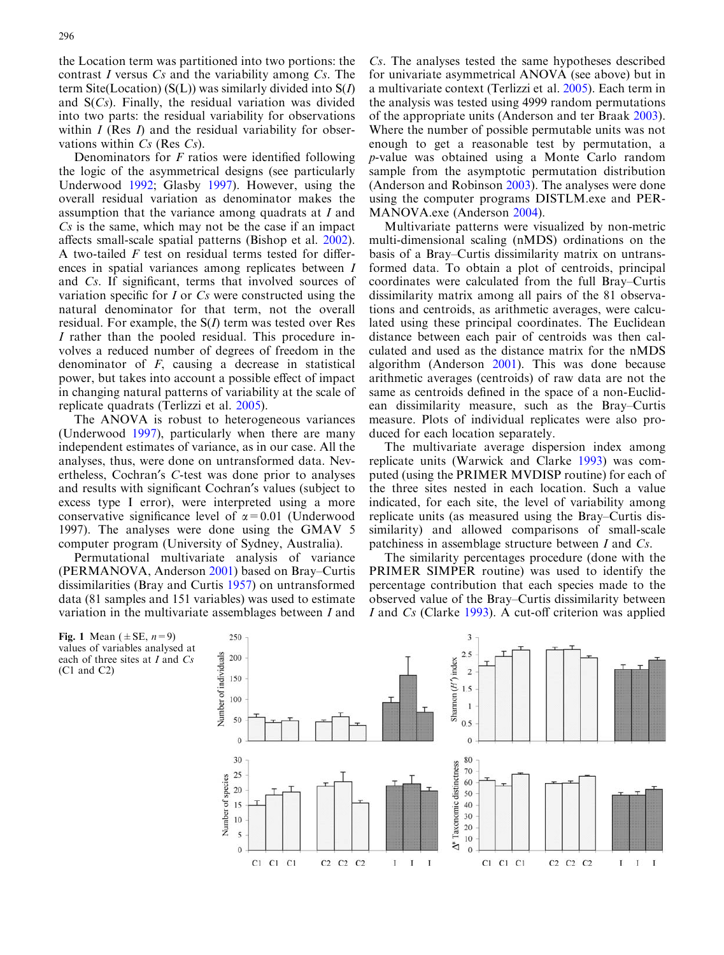the Location term was partitioned into two portions: the contrast I versus  $Cs$  and the variability among  $Cs$ . The term Site(Location) ( $S(L)$ ) was similarly divided into  $S(I)$ and  $S(Cs)$ . Finally, the residual variation was divided into two parts: the residual variability for observations within  $I$  (Res  $I$ ) and the residual variability for observations within  $Cs$  (Res  $Cs$ ).

Denominators for F ratios were identified following the logic of the asymmetrical designs (see particularly Underwood 1992; Glasby 1997). However, using the overall residual variation as denominator makes the assumption that the variance among quadrats at I and Cs is the same, which may not be the case if an impact affects small-scale spatial patterns (Bishop et al. 2002). A two-tailed  $F$  test on residual terms tested for differences in spatial variances among replicates between I and Cs. If significant, terms that involved sources of variation specific for I or Cs were constructed using the natural denominator for that term, not the overall residual. For example, the  $S(I)$  term was tested over Res I rather than the pooled residual. This procedure involves a reduced number of degrees of freedom in the denominator of  $F$ , causing a decrease in statistical power, but takes into account a possible effect of impact in changing natural patterns of variability at the scale of replicate quadrats (Terlizzi et al. 2005).

The ANOVA is robust to heterogeneous variances (Underwood 1997), particularly when there are many independent estimates of variance, as in our case. All the analyses, thus, were done on untransformed data. Nevertheless, Cochran's C-test was done prior to analyses and results with significant Cochran's values (subject to excess type I error), were interpreted using a more conservative significance level of  $\alpha$ =0.01 (Underwood 1997). The analyses were done using the GMAV 5 computer program (University of Sydney, Australia).

Permutational multivariate analysis of variance (PERMANOVA, Anderson 2001) based on Bray–Curtis dissimilarities (Bray and Curtis 1957) on untransformed data (81 samples and 151 variables) was used to estimate variation in the multivariate assemblages between I and

Cs. The analyses tested the same hypotheses described for univariate asymmetrical ANOVA (see above) but in a multivariate context (Terlizzi et al. 2005). Each term in the analysis was tested using 4999 random permutations of the appropriate units (Anderson and ter Braak 2003). Where the number of possible permutable units was not enough to get a reasonable test by permutation, a p-value was obtained using a Monte Carlo random sample from the asymptotic permutation distribution (Anderson and Robinson 2003). The analyses were done using the computer programs DISTLM.exe and PER-MANOVA.exe (Anderson 2004).

Multivariate patterns were visualized by non-metric multi-dimensional scaling (nMDS) ordinations on the basis of a Bray–Curtis dissimilarity matrix on untransformed data. To obtain a plot of centroids, principal coordinates were calculated from the full Bray–Curtis dissimilarity matrix among all pairs of the 81 observations and centroids, as arithmetic averages, were calculated using these principal coordinates. The Euclidean distance between each pair of centroids was then calculated and used as the distance matrix for the nMDS algorithm (Anderson 2001). This was done because arithmetic averages (centroids) of raw data are not the same as centroids defined in the space of a non-Euclidean dissimilarity measure, such as the Bray–Curtis measure. Plots of individual replicates were also produced for each location separately.

The multivariate average dispersion index among replicate units (Warwick and Clarke 1993) was computed (using the PRIMER MVDISP routine) for each of the three sites nested in each location. Such a value indicated, for each site, the level of variability among replicate units (as measured using the Bray–Curtis dissimilarity) and allowed comparisons of small-scale patchiness in assemblage structure between I and Cs.

The similarity percentages procedure (done with the PRIMER SIMPER routine) was used to identify the percentage contribution that each species made to the observed value of the Bray–Curtis dissimilarity between I and Cs (Clarke 1993). A cut-off criterion was applied

Fig. 1 Mean ( $\pm$ SE,  $n=9$ ) values of variables analysed at each of three sites at  $I$  and  $Cs$ (C1 and C2)

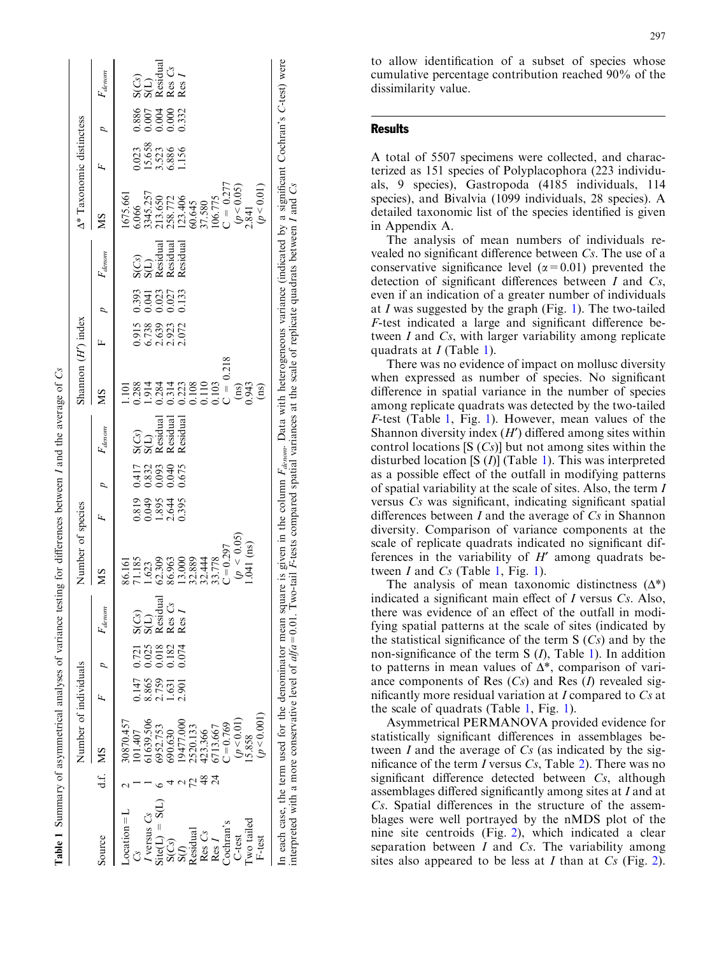|                                                                                                                                                                                                                                       |                 | Number of individuals |                                  |                                   |                                | Number of species          |                         |                                |                                       | Shannon $(H')$ index    |                                  |                               |                                       | A* Taxonomic distinctess                                                            |                                            |           |                                             |
|---------------------------------------------------------------------------------------------------------------------------------------------------------------------------------------------------------------------------------------|-----------------|-----------------------|----------------------------------|-----------------------------------|--------------------------------|----------------------------|-------------------------|--------------------------------|---------------------------------------|-------------------------|----------------------------------|-------------------------------|---------------------------------------|-------------------------------------------------------------------------------------|--------------------------------------------|-----------|---------------------------------------------|
| Source                                                                                                                                                                                                                                | d.f. MS         |                       |                                  |                                   | $F_{denom}$                    | SM                         |                         |                                | $F_{denom}$                           | SM                      |                                  |                               | $F_{denom}$                           | SM                                                                                  |                                            |           | $F_{denom}$                                 |
| $\text{location} = L$                                                                                                                                                                                                                 |                 | 12570.457             |                                  |                                   |                                | 86.161                     |                         |                                |                                       | $\Xi$                   |                                  |                               |                                       | 675.661                                                                             |                                            |           |                                             |
| Cs                                                                                                                                                                                                                                    |                 | 01.407                | 147                              |                                   |                                | 71.185                     |                         |                                |                                       |                         |                                  |                               |                                       | 5.066                                                                               |                                            |           |                                             |
|                                                                                                                                                                                                                                       |                 | 1639.506              |                                  | 0.721<br>0.028<br>0.0322<br>0.074 | $\frac{\text{SCS}}{\text{SU}}$ | 1.623                      | 0.89%<br>0.89%<br>0.89% | 117<br>0.832<br>0.000<br>0.000 | S(Cs)<br>S(L)<br>Residual<br>Residual | 1.914<br>1.914<br>0.284 | 0.915<br>6.738<br>0.039<br>0.072 | 393<br>0.027<br>0.027<br>0.03 | S(Cs)<br>S(L)<br>Residual<br>Residual |                                                                                     | 0.023<br>15.658<br>5.528<br>1.156<br>1.156 | 880240033 | S(Cs)<br>S(L)<br>Residual<br>Res I<br>Res I |
| $I$ versus $C_s$<br>Site(L) = S(L)                                                                                                                                                                                                    |                 | 5952.753              | 8.865<br>2.759<br>1.631<br>2.901 |                                   |                                | 62.309                     |                         |                                |                                       |                         |                                  |                               |                                       |                                                                                     |                                            |           |                                             |
|                                                                                                                                                                                                                                       |                 | 690.630               |                                  |                                   | Residual<br>Res Cs             | 86.963                     |                         |                                |                                       | 0.314                   |                                  |                               |                                       |                                                                                     |                                            |           |                                             |
| $S(Cs)$<br>$S(I)$<br>Residual                                                                                                                                                                                                         |                 | 9477.000              |                                  |                                   | Res                            | 13.000                     |                         |                                | Residual                              |                         |                                  |                               | Residual                              |                                                                                     |                                            |           |                                             |
|                                                                                                                                                                                                                                       |                 | 520.133               |                                  |                                   |                                |                            |                         |                                |                                       | 0.223                   |                                  |                               |                                       |                                                                                     |                                            |           |                                             |
|                                                                                                                                                                                                                                       | 48              |                       |                                  |                                   |                                | 32.889<br>32.444<br>33.778 |                         |                                |                                       | 0.110<br>0.103          |                                  |                               |                                       |                                                                                     |                                            |           |                                             |
| $Res Cs$<br>Res I                                                                                                                                                                                                                     | $\overline{24}$ | 423.366<br>6713.667   |                                  |                                   |                                |                            |                         |                                |                                       |                         |                                  |                               |                                       |                                                                                     |                                            |           |                                             |
| Cochran's                                                                                                                                                                                                                             |                 | $C = 0.769$           |                                  |                                   |                                | $C = 0.297$                |                         |                                |                                       | $C = 0.218$             |                                  |                               |                                       | 3345.257<br>213.650<br>213.406<br>258.772<br>106.775<br>00.775<br>106.775<br>00.777 |                                            |           |                                             |
| C-test                                                                                                                                                                                                                                |                 | (p < 0.01)            |                                  |                                   |                                | $(p \, < \, 0.05)$         |                         |                                |                                       | $\binom{ms}{0.943}$     |                                  |                               |                                       |                                                                                     |                                            |           |                                             |
| Iwo tailed                                                                                                                                                                                                                            |                 | $-5.858$              |                                  |                                   |                                | $.041$ (ns)                |                         |                                |                                       |                         |                                  |                               |                                       | $(p < 0.05)$<br>2.841                                                               |                                            |           |                                             |
| F-test                                                                                                                                                                                                                                |                 | (p < 0.001)           |                                  |                                   |                                |                            |                         |                                |                                       | $\sin$                  |                                  |                               |                                       | (p < 0.01)                                                                          |                                            |           |                                             |
| In each case, the term used for the denominator mean square is given in the column $F_{deunnn}$ . Data with heterogeneous variance (indicated by a significant Cochran's C-test) were<br>interpreted with a more conservative level o |                 |                       |                                  |                                   |                                |                            |                         |                                |                                       |                         |                                  |                               |                                       |                                                                                     |                                            |           |                                             |

Table 1 Summary of asymmetrical analyses of variance testing for differences between I and the average of

Summary of asymmetrical analyses of variance testing for differences between I and the average of  $Cs$ 

ඊ

to allow identification of a subset of species whose cumulative percentage contribution reached 90% of the dissimilarity value.

# **Results**

A total of 5507 specimens were collected, and characterized as 151 species of Polyplacophora (223 individuals, 9 species), Gastropoda (4185 individuals, 114 species), and Bivalvia (1099 individuals, 28 species). A detailed taxonomic list of the species identified is given in Appendix A.

The analysis of mean numbers of individuals revealed no significant difference between Cs. The use of a conservative significance level  $(\alpha = 0.01)$  prevented the detection of significant differences between  $I$  and  $Cs$ , even if an indication of a greater number of individuals at I was suggested by the graph (Fig. 1). The two-tailed F-test indicated a large and significant difference between I and Cs, with larger variability among replicate quadrats at *I* (Table 1).

There was no evidence of impact on mollusc diversity when expressed as number of species. No significant difference in spatial variance in the number of species among replicate quadrats was detected by the two-tailed F-test (Table 1, Fig. 1). However, mean values of the Shannon diversity index  $(H')$  differed among sites within control locations  $[S(Cs)]$  but not among sites within the disturbed location  $[S (I)]$  (Table 1). This was interpreted as a possible effect of the outfall in modifying patterns of spatial variability at the scale of sites. Also, the term I versus Cs was significant, indicating significant spatial differences between  $I$  and the average of  $Cs$  in Shannon diversity. Comparison of variance components at the scale of replicate quadrats indicated no significant differences in the variability of  $H'$  among quadrats between  $I$  and  $Cs$  (Table 1, Fig. 1).

The analysis of mean taxonomic distinctness  $(\Delta^*)$ indicated a significant main effect of I versus Cs. Also, there was evidence of an effect of the outfall in modifying spatial patterns at the scale of sites (indicated by the statistical significance of the term  $S(Cs)$  and by the non-significance of the term  $S(I)$ , Table 1). In addition to patterns in mean values of  $\Delta^*$ , comparison of variance components of Res  $(Cs)$  and Res  $(I)$  revealed significantly more residual variation at  $I$  compared to  $Cs$  at the scale of quadrats (Table 1, Fig. 1).

Asymmetrical PERMANOVA provided evidence for statistically significant differences in assemblages between I and the average of  $Cs$  (as indicated by the significance of the term I versus  $Cs$ , Table 2). There was no significant difference detected between Cs, although assemblages differed significantly among sites at I and at Cs. Spatial differences in the structure of the assemblages were well portrayed by the nMDS plot of the nine site centroids (Fig. 2), which indicated a clear separation between  $I$  and  $Cs$ . The variability among sites also appeared to be less at  $I$  than at  $Cs$  (Fig. 2).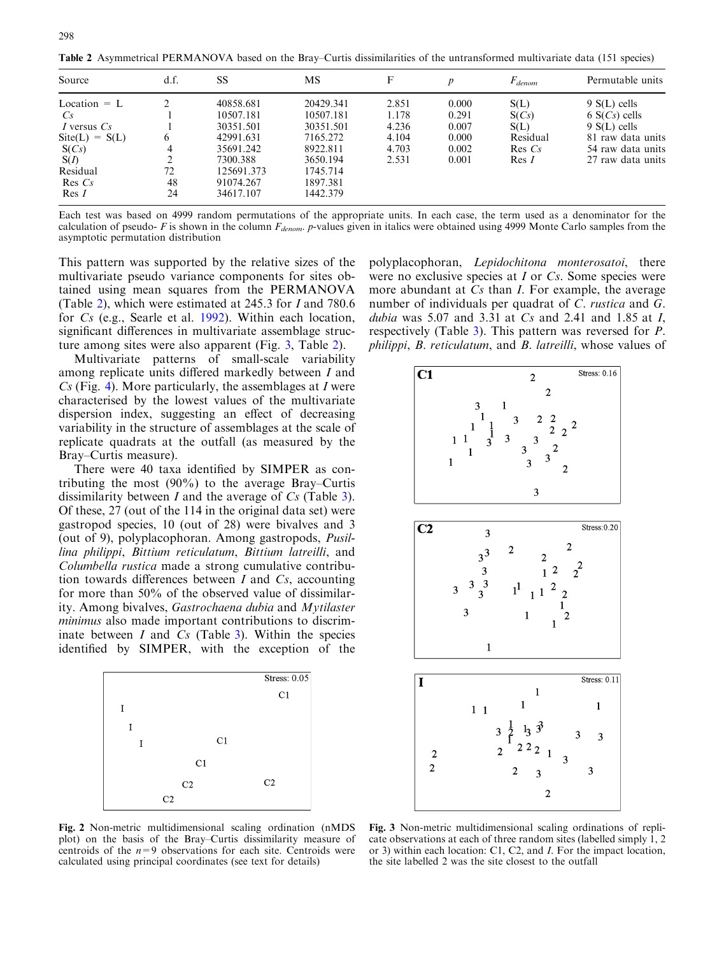Table 2 Asymmetrical PERMANOVA based on the Bray–Curtis dissimilarities of the untransformed multivariate data (151 species)

| Source                                 | d.f.           | SS                                               | MS                                           |       | $\boldsymbol{p}$ | $F_{denom}$ | Permutable units  |
|----------------------------------------|----------------|--------------------------------------------------|----------------------------------------------|-------|------------------|-------------|-------------------|
| Location $= L$                         |                | 40858.681                                        | 20429.341                                    | 2.851 | 0.000            | S(L)        | $9 S(L)$ cells    |
| Cs                                     |                | 10507.181                                        | 10507.181                                    | 1.178 | 0.291            | S(Cs)       | $6 S(Cs)$ cells   |
| I versus $Cs$                          |                | 30351.501                                        | 30351.501                                    | 4.236 | 0.007            | S(L)        | $9 S(L)$ cells    |
| $\text{Site}(L) = S(L)$                | <sub>(</sub>   | 42991.631                                        | 7165.272                                     | 4.104 | 0.000            | Residual    | 81 raw data units |
| S(Cs)                                  |                | 35691.242                                        | 8922.811                                     | 4.703 | 0.002            | $Res\, Cs$  | 54 raw data units |
| S(I)<br>Residual<br>$Res\;Cs$<br>Res I | 72<br>48<br>24 | 7300.388<br>125691.373<br>91074.267<br>34617.107 | 3650.194<br>1745.714<br>1897.381<br>1442.379 | 2.531 | 0.001            | Res I       | 27 raw data units |

Each test was based on 4999 random permutations of the appropriate units. In each case, the term used as a denominator for the calculation of pseudo- F is shown in the column  $F_{denom}$ . p-values given in italics were obtained using 4999 Monte Carlo samples from the asymptotic permutation distribution

This pattern was supported by the relative sizes of the multivariate pseudo variance components for sites obtained using mean squares from the PERMANOVA (Table 2), which were estimated at 245.3 for I and 780.6 for Cs (e.g., Searle et al. 1992). Within each location, significant differences in multivariate assemblage structure among sites were also apparent (Fig. 3, Table 2).

Multivariate patterns of small-scale variability among replicate units differed markedly between I and  $Cs$  (Fig. 4). More particularly, the assemblages at I were characterised by the lowest values of the multivariate dispersion index, suggesting an effect of decreasing variability in the structure of assemblages at the scale of replicate quadrats at the outfall (as measured by the Bray–Curtis measure).

There were 40 taxa identified by SIMPER as contributing the most (90%) to the average Bray–Curtis dissimilarity between  $I$  and the average of  $Cs$  (Table 3). Of these, 27 (out of the 114 in the original data set) were gastropod species, 10 (out of 28) were bivalves and 3 (out of 9), polyplacophoran. Among gastropods, Pusillina philippi, Bittium reticulatum, Bittium latreilli, and Columbella rustica made a strong cumulative contribution towards differences between  $I$  and  $Cs$ , accounting for more than 50% of the observed value of dissimilarity. Among bivalves, Gastrochaena dubia and Mytilaster minimus also made important contributions to discriminate between  $I$  and  $Cs$  (Table 3). Within the species identified by SIMPER, with the exception of the



Fig. 2 Non-metric multidimensional scaling ordination (nMDS plot) on the basis of the Bray–Curtis dissimilarity measure of centroids of the  $n=9$  observations for each site. Centroids were calculated using principal coordinates (see text for details)

polyplacophoran, Lepidochitona monterosatoi, there were no exclusive species at I or Cs. Some species were more abundant at Cs than *I*. For example, the average number of individuals per quadrat of C. rustica and G. dubia was 5.07 and 3.31 at  $Cs$  and 2.41 and 1.85 at  $I$ , respectively (Table 3). This pattern was reversed for P. philippi, B. reticulatum, and B. latreilli, whose values of



Fig. 3 Non-metric multidimensional scaling ordinations of replicate observations at each of three random sites (labelled simply 1, 2 or 3) within each location: C1, C2, and I. For the impact location, the site labelled 2 was the site closest to the outfall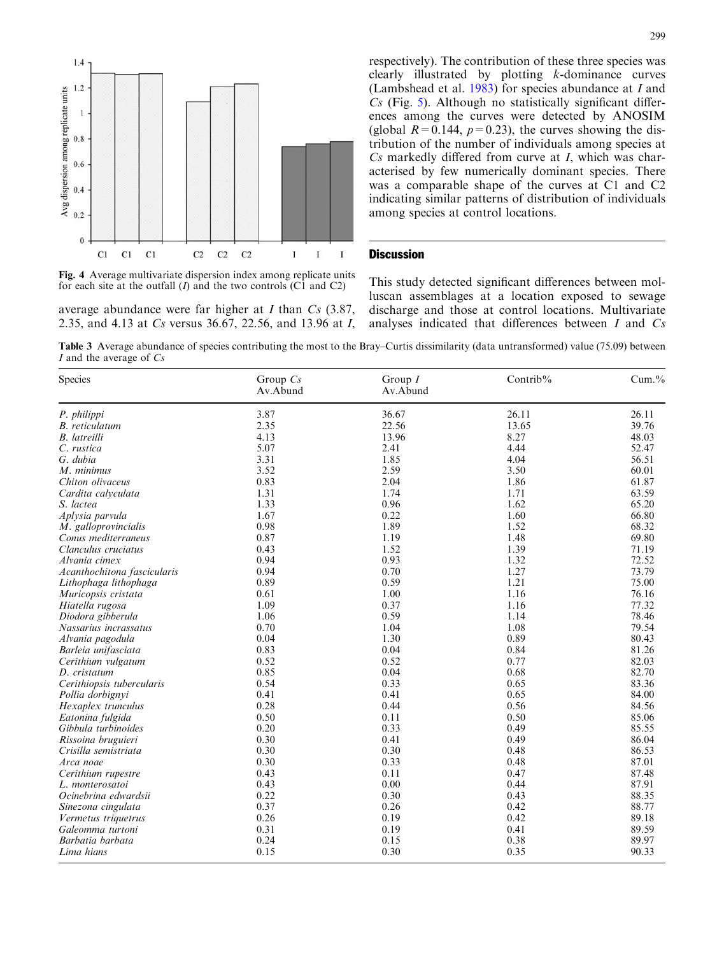

Fig. 4 Average multivariate dispersion index among replicate units for each site at the outfall  $(I)$  and the two controls  $(C1$  and  $C2)$ 

average abundance were far higher at  $I$  than  $Cs$  (3.87, 2.35, and 4.13 at Cs versus 36.67, 22.56, and 13.96 at I, respectively). The contribution of these three species was clearly illustrated by plotting k-dominance curves (Lambshead et al.  $1983$ ) for species abundance at I and  $Cs$  (Fig. 5). Although no statistically significant differences among the curves were detected by ANOSIM (global  $R=0.144$ ,  $p=0.23$ ), the curves showing the distribution of the number of individuals among species at Cs markedly differed from curve at I, which was characterised by few numerically dominant species. There was a comparable shape of the curves at C1 and C2 indicating similar patterns of distribution of individuals among species at control locations.

## **Discussion**

This study detected significant differences between molluscan assemblages at a location exposed to sewage discharge and those at control locations. Multivariate analyses indicated that differences between I and Cs

Table 3 Average abundance of species contributing the most to the Bray–Curtis dissimilarity (data untransformed) value (75.09) between I and the average of  $Cs$ 

| Species                     | Group $Cs$<br>Av.Abund | Group $I$<br>Av.Abund | Contrib% | Cum.% |
|-----------------------------|------------------------|-----------------------|----------|-------|
| P. philippi                 | 3.87                   | 36.67                 | 26.11    | 26.11 |
| <b>B.</b> reticulatum       | 2.35                   | 22.56                 | 13.65    | 39.76 |
| <b>B.</b> latreilli         | 4.13                   | 13.96                 | 8.27     | 48.03 |
| C. rustica                  | 5.07                   | 2.41                  | 4.44     | 52.47 |
| G. dubia                    | 3.31                   | 1.85                  | 4.04     | 56.51 |
| M. minimus                  | 3.52                   | 2.59                  | 3.50     | 60.01 |
| Chiton olivaceus            | 0.83                   | 2.04                  | 1.86     | 61.87 |
| Cardita calyculata          | 1.31                   | 1.74                  | 1.71     | 63.59 |
| S. lactea                   | 1.33                   | 0.96                  | 1.62     | 65.20 |
| Aplysia parvula             | 1.67                   | 0.22                  | 1.60     | 66.80 |
| M. galloprovincialis        | 0.98                   | 1.89                  | 1.52     | 68.32 |
| Conus mediterraneus         | 0.87                   | 1.19                  | 1.48     | 69.80 |
| Clanculus cruciatus         | 0.43                   | 1.52                  | 1.39     | 71.19 |
| Alvania cimex               | 0.94                   | 0.93                  | 1.32     | 72.52 |
| Acanthochitona fascicularis | 0.94                   | 0.70                  | 1.27     | 73.79 |
| Lithophaga lithophaga       | 0.89                   | 0.59                  | 1.21     | 75.00 |
| Muricopsis cristata         | 0.61                   | 1.00                  | 1.16     | 76.16 |
| Hiatella rugosa             | 1.09                   | 0.37                  | 1.16     | 77.32 |
| Diodora gibberula           | 1.06                   | 0.59                  | 1.14     | 78.46 |
| Nassarius incrassatus       | 0.70                   | 1.04                  | 1.08     | 79.54 |
| Alvania pagodula            | 0.04                   | 1.30                  | 0.89     | 80.43 |
| Barleia unifasciata         | 0.83                   | 0.04                  | 0.84     | 81.26 |
| Cerithium vulgatum          | 0.52                   | 0.52                  | 0.77     | 82.03 |
| D. cristatum                | 0.85                   | 0.04                  | 0.68     | 82.70 |
| Cerithiopsis tubercularis   | 0.54                   | 0.33                  | 0.65     | 83.36 |
| Pollia dorbignyi            | 0.41                   | 0.41                  | 0.65     | 84.00 |
| Hexaplex trunculus          | 0.28                   | 0.44                  | 0.56     | 84.56 |
| Eatonina fulgida            | 0.50                   | 0.11                  | 0.50     | 85.06 |
| Gibbula turbinoides         | 0.20                   | 0.33                  | 0.49     | 85.55 |
| Rissoina bruguieri          | 0.30                   | 0.41                  | 0.49     | 86.04 |
| Crisilla semistriata        | 0.30                   | 0.30                  | 0.48     | 86.53 |
| Arca noae                   | 0.30                   | 0.33                  | 0.48     | 87.01 |
| Cerithium rupestre          | 0.43                   | 0.11                  | 0.47     | 87.48 |
| L. monterosatoi             | 0.43                   | 0.00                  | 0.44     | 87.91 |
| Ocinebrina edwardsii        | 0.22                   | 0.30                  | 0.43     | 88.35 |
| Sinezona cingulata          | 0.37                   | 0.26                  | 0.42     | 88.77 |
| Vermetus triquetrus         | 0.26                   | 0.19                  | 0.42     | 89.18 |
| Galeomma turtoni            | 0.31                   | 0.19                  | 0.41     | 89.59 |
| Barbatia barbata            | 0.24                   | 0.15                  | 0.38     | 89.97 |
| Lima hians                  | 0.15                   | 0.30                  | 0.35     | 90.33 |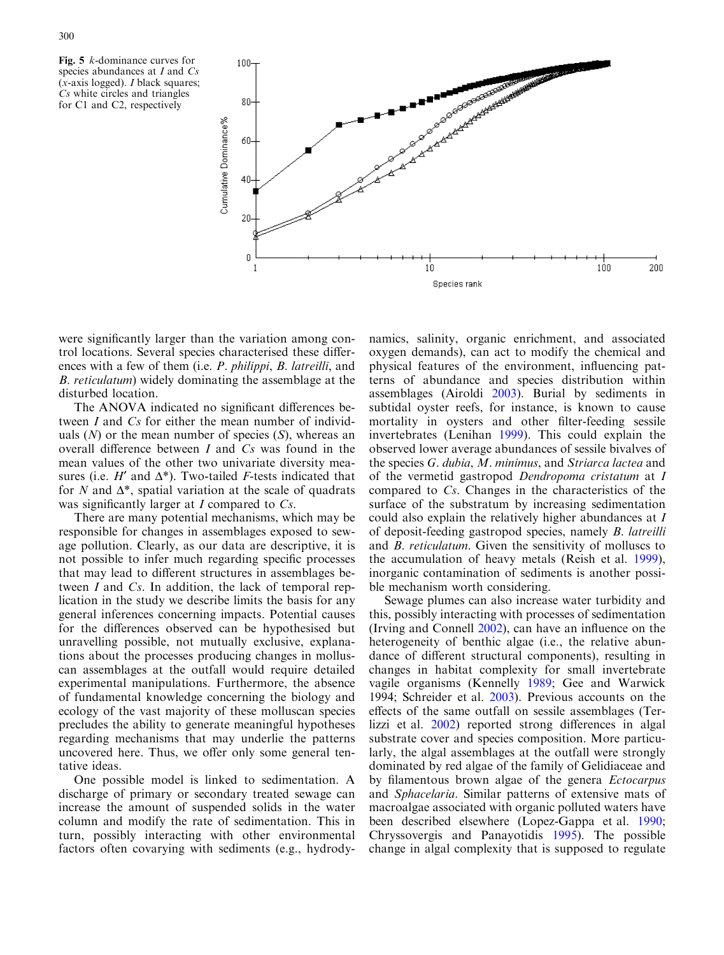



were significantly larger than the variation among control locations. Several species characterised these differences with a few of them (i.e. P. philippi, B. latreilli, and B. reticulatum) widely dominating the assemblage at the disturbed location.

The ANOVA indicated no significant differences between I and Cs for either the mean number of individuals  $(N)$  or the mean number of species  $(S)$ , whereas an overall difference between I and Cs was found in the mean values of the other two univariate diversity measures (i.e.  $H'$  and  $\Delta^*$ ). Two-tailed *F*-tests indicated that for N and  $\Delta^*$ , spatial variation at the scale of quadrats was significantly larger at *I* compared to *Cs*.

There are many potential mechanisms, which may be responsible for changes in assemblages exposed to sewage pollution. Clearly, as our data are descriptive, it is not possible to infer much regarding specific processes that may lead to different structures in assemblages between I and Cs. In addition, the lack of temporal replication in the study we describe limits the basis for any general inferences concerning impacts. Potential causes for the differences observed can be hypothesised but unravelling possible, not mutually exclusive, explanations about the processes producing changes in molluscan assemblages at the outfall would require detailed experimental manipulations. Furthermore, the absence of fundamental knowledge concerning the biology and ecology of the vast majority of these molluscan species precludes the ability to generate meaningful hypotheses regarding mechanisms that may underlie the patterns uncovered here. Thus, we offer only some general tentative ideas.

One possible model is linked to sedimentation. A discharge of primary or secondary treated sewage can increase the amount of suspended solids in the water column and modify the rate of sedimentation. This in turn, possibly interacting with other environmental factors often covarying with sediments (e.g., hydrody-

namics, salinity, organic enrichment, and associated oxygen demands), can act to modify the chemical and physical features of the environment, influencing patterns of abundance and species distribution within assemblages (Airoldi 2003). Burial by sediments in subtidal oyster reefs, for instance, is known to cause mortality in oysters and other filter-feeding sessile invertebrates (Lenihan 1999). This could explain the observed lower average abundances of sessile bivalves of the species G. dubia, M. minimus, and Striarca lactea and of the vermetid gastropod Dendropoma cristatum at I compared to Cs. Changes in the characteristics of the surface of the substratum by increasing sedimentation could also explain the relatively higher abundances at I of deposit-feeding gastropod species, namely B. latreilli and B. reticulatum. Given the sensitivity of molluscs to the accumulation of heavy metals (Reish et al. 1999), inorganic contamination of sediments is another possible mechanism worth considering.

Sewage plumes can also increase water turbidity and this, possibly interacting with processes of sedimentation (Irving and Connell 2002), can have an influence on the heterogeneity of benthic algae (i.e., the relative abundance of different structural components), resulting in changes in habitat complexity for small invertebrate vagile organisms (Kennelly 1989; Gee and Warwick 1994; Schreider et al. 2003). Previous accounts on the effects of the same outfall on sessile assemblages (Terlizzi et al. 2002) reported strong differences in algal substrate cover and species composition. More particularly, the algal assemblages at the outfall were strongly dominated by red algae of the family of Gelidiaceae and by filamentous brown algae of the genera *Ectocarpus* and Sphacelaria. Similar patterns of extensive mats of macroalgae associated with organic polluted waters have been described elsewhere (Lopez-Gappa et al. 1990; Chryssovergis and Panayotidis 1995). The possible change in algal complexity that is supposed to regulate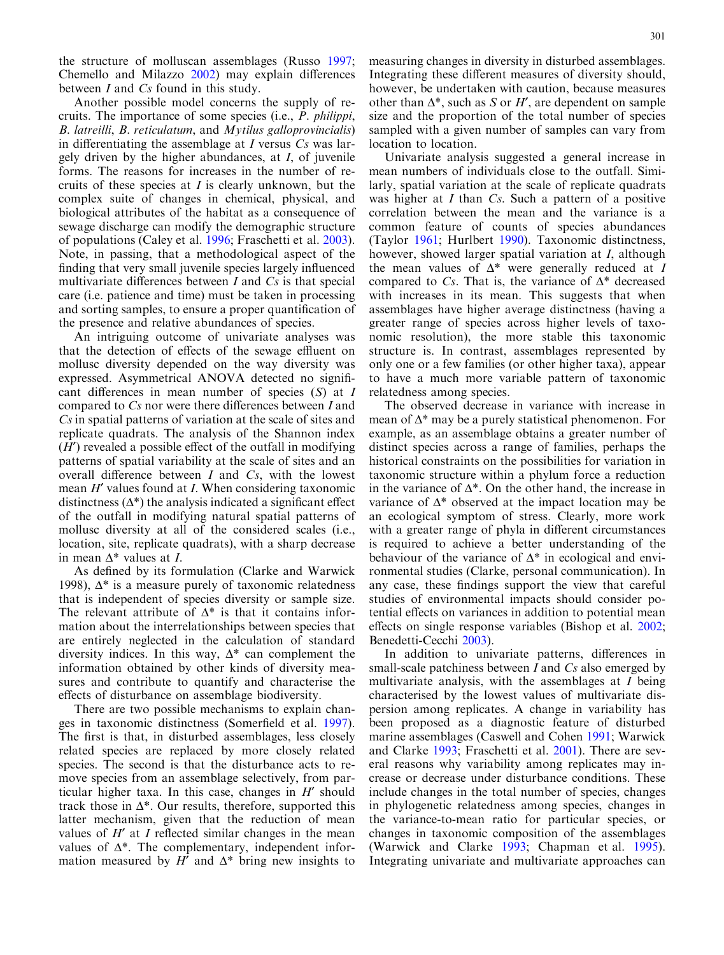the structure of molluscan assemblages (Russo 1997; Chemello and Milazzo 2002) may explain differences between I and Cs found in this study.

Another possible model concerns the supply of recruits. The importance of some species (i.e., P. philippi, B. latreilli, B. reticulatum, and Mytilus galloprovincialis) in differentiating the assemblage at  $I$  versus  $Cs$  was largely driven by the higher abundances, at I, of juvenile forms. The reasons for increases in the number of recruits of these species at  $I$  is clearly unknown, but the complex suite of changes in chemical, physical, and biological attributes of the habitat as a consequence of sewage discharge can modify the demographic structure of populations (Caley et al. 1996; Fraschetti et al. 2003). Note, in passing, that a methodological aspect of the finding that very small juvenile species largely influenced multivariate differences between  $I$  and  $Cs$  is that special care (i.e. patience and time) must be taken in processing and sorting samples, to ensure a proper quantification of the presence and relative abundances of species.

An intriguing outcome of univariate analyses was that the detection of effects of the sewage effluent on mollusc diversity depended on the way diversity was expressed. Asymmetrical ANOVA detected no significant differences in mean number of species  $(S)$  at I compared to Cs nor were there differences between I and Cs in spatial patterns of variation at the scale of sites and replicate quadrats. The analysis of the Shannon index  $(H')$  revealed a possible effect of the outfall in modifying patterns of spatial variability at the scale of sites and an overall difference between  $I$  and  $Cs$ , with the lowest mean  $H'$  values found at I. When considering taxonomic distinctness  $(\Delta^*)$  the analysis indicated a significant effect of the outfall in modifying natural spatial patterns of mollusc diversity at all of the considered scales (i.e., location, site, replicate quadrats), with a sharp decrease in mean  $\Delta^*$  values at I.

As defined by its formulation (Clarke and Warwick 1998),  $\Delta^*$  is a measure purely of taxonomic relatedness that is independent of species diversity or sample size. The relevant attribute of  $\Delta^*$  is that it contains information about the interrelationships between species that are entirely neglected in the calculation of standard diversity indices. In this way,  $\Delta^*$  can complement the information obtained by other kinds of diversity measures and contribute to quantify and characterise the effects of disturbance on assemblage biodiversity.

There are two possible mechanisms to explain changes in taxonomic distinctness (Somerfield et al. 1997). The first is that, in disturbed assemblages, less closely related species are replaced by more closely related species. The second is that the disturbance acts to remove species from an assemblage selectively, from particular higher taxa. In this case, changes in  $H'$  should track those in  $\Delta^*$ . Our results, therefore, supported this latter mechanism, given that the reduction of mean values of  $H'$  at I reflected similar changes in the mean values of  $\Delta^*$ . The complementary, independent information measured by  $H'$  and  $\Delta^*$  bring new insights to measuring changes in diversity in disturbed assemblages. Integrating these different measures of diversity should, however, be undertaken with caution, because measures other than  $\Delta^*$ , such as S or H', are dependent on sample size and the proportion of the total number of species sampled with a given number of samples can vary from location to location.

Univariate analysis suggested a general increase in mean numbers of individuals close to the outfall. Similarly, spatial variation at the scale of replicate quadrats was higher at  $I$  than  $Cs$ . Such a pattern of a positive correlation between the mean and the variance is a common feature of counts of species abundances (Taylor 1961; Hurlbert 1990). Taxonomic distinctness, however, showed larger spatial variation at I, although the mean values of  $\Delta^*$  were generally reduced at I compared to Cs. That is, the variance of  $\Delta^*$  decreased with increases in its mean. This suggests that when assemblages have higher average distinctness (having a greater range of species across higher levels of taxonomic resolution), the more stable this taxonomic structure is. In contrast, assemblages represented by only one or a few families (or other higher taxa), appear to have a much more variable pattern of taxonomic relatedness among species.

The observed decrease in variance with increase in mean of  $\Delta^*$  may be a purely statistical phenomenon. For example, as an assemblage obtains a greater number of distinct species across a range of families, perhaps the historical constraints on the possibilities for variation in taxonomic structure within a phylum force a reduction in the variance of  $\Delta^*$ . On the other hand, the increase in variance of  $\Delta^*$  observed at the impact location may be an ecological symptom of stress. Clearly, more work with a greater range of phyla in different circumstances is required to achieve a better understanding of the behaviour of the variance of  $\Delta^*$  in ecological and environmental studies (Clarke, personal communication). In any case, these findings support the view that careful studies of environmental impacts should consider potential effects on variances in addition to potential mean effects on single response variables (Bishop et al. 2002; Benedetti-Cecchi 2003).

In addition to univariate patterns, differences in small-scale patchiness between  $I$  and  $Cs$  also emerged by multivariate analysis, with the assemblages at I being characterised by the lowest values of multivariate dispersion among replicates. A change in variability has been proposed as a diagnostic feature of disturbed marine assemblages (Caswell and Cohen 1991; Warwick and Clarke 1993; Fraschetti et al. 2001). There are several reasons why variability among replicates may increase or decrease under disturbance conditions. These include changes in the total number of species, changes in phylogenetic relatedness among species, changes in the variance-to-mean ratio for particular species, or changes in taxonomic composition of the assemblages (Warwick and Clarke 1993; Chapman et al. 1995). Integrating univariate and multivariate approaches can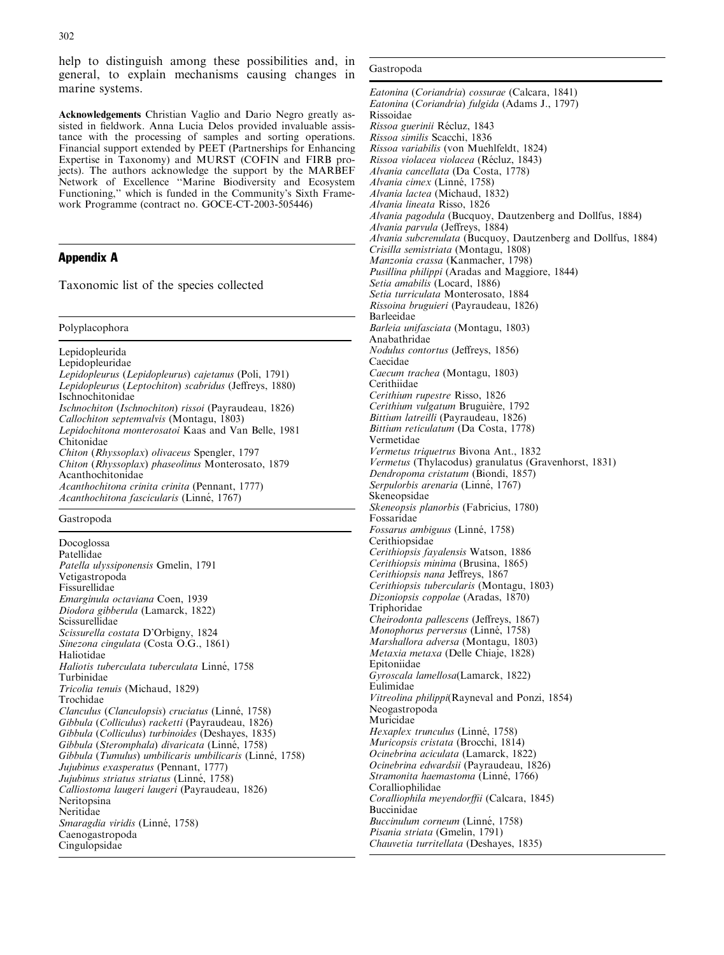Acknowledgements Christian Vaglio and Dario Negro greatly assisted in fieldwork. Anna Lucia Delos provided invaluable assistance with the processing of samples and sorting operations. Financial support extended by PEET (Partnerships for Enhancing Expertise in Taxonomy) and MURST (COFIN and FIRB projects). The authors acknowledge the support by the MARBEF Network of Excellence ''Marine Biodiversity and Ecosystem Functioning,'' which is funded in the Community's Sixth Framework Programme (contract no. GOCE-CT-2003-505446)

# Appendix A

Taxonomic list of the species collected

Polyplacophora

Lepidopleurida Lepidopleuridae Lepidopleurus (Lepidopleurus) cajetanus (Poli, 1791) Lepidopleurus (Leptochiton) scabridus (Jeffreys, 1880) Ischnochitonidae Ischnochiton (Ischnochiton) rissoi (Payraudeau, 1826) Callochiton septemvalvis (Montagu, 1803) Lepidochitona monterosatoi Kaas and Van Belle, 1981 Chitonidae Chiton (Rhyssoplax) olivaceus Spengler, 1797 Chiton (Rhyssoplax) phaseolinus Monterosato, 1879 Acanthochitonidae Acanthochitona crinita crinita (Pennant, 1777) Acanthochitona fascicularis (Linné, 1767)

### Gastropoda

Docoglossa Patellidae Patella ulyssiponensis Gmelin, 1791 Vetigastropoda Fissurellidae Emarginula octaviana Coen, 1939 Diodora gibberula (Lamarck, 1822) Scissurellidae Scissurella costata D'Orbigny, 1824 Sinezona cingulata (Costa O.G., 1861) Haliotidae Haliotis tuberculata tuberculata Linné, 1758 Turbinidae Tricolia tenuis (Michaud, 1829) Trochidae Clanculus (Clanculopsis) cruciatus (Linné, 1758) Gibbula (Colliculus) racketti (Payraudeau, 1826) Gibbula (Colliculus) turbinoides (Deshayes, 1835) Gibbula (Steromphala) divaricata (Linné, 1758) Gibbula (Tumulus) umbilicaris umbilicaris (Linné, 1758) Jujubinus exasperatus (Pennant, 1777) Jujubinus striatus striatus (Linné, 1758) Calliostoma laugeri laugeri (Payraudeau, 1826) Neritopsina Neritidae Smaragdia viridis (Linné, 1758) Caenogastropoda Cingulopsidae

#### Gastropoda

Eatonina (Coriandria) cossurae (Calcara, 1841) Eatonina (Coriandria) fulgida (Adams J., 1797) Rissoidae Rissoa guerinii Récluz, 1843 Rissoa similis Scacchi, 1836 Rissoa variabilis (von Muehlfeldt, 1824) Rissoa violacea violacea (Récluz, 1843) Alvania cancellata (Da Costa, 1778) Alvania cimex (Linné, 1758) Alvania lactea (Michaud, 1832) Alvania lineata Risso, 1826 Alvania pagodula (Bucquoy, Dautzenberg and Dollfus, 1884) Alvania parvula (Jeffreys, 1884) Alvania subcrenulata (Bucquoy, Dautzenberg and Dollfus, 1884) Crisilla semistriata (Montagu, 1808) Manzonia crassa (Kanmacher, 1798) Pusillina philippi (Aradas and Maggiore, 1844) Setia amabilis (Locard, 1886) Setia turriculata Monterosato, 1884 Rissoina bruguieri (Payraudeau, 1826) Barleeidae Barleia unifasciata (Montagu, 1803) Anabathridae Nodulus contortus (Jeffreys, 1856) Caecidae Caecum trachea (Montagu, 1803) Cerithiidae Cerithium rupestre Risso, 1826 Cerithium vulgatum Bruguière, 1792 Bittium latreilli (Payraudeau, 1826) Bittium reticulatum (Da Costa, 1778) Vermetidae Vermetus triquetrus Bivona Ant., 1832 Vermetus (Thylacodus) granulatus (Gravenhorst, 1831) Dendropoma cristatum (Biondi, 1857) Serpulorbis arenaria (Linné, 1767) Skeneopsidae Skeneopsis planorbis (Fabricius, 1780) Fossaridae Fossarus ambiguus (Linné, 1758) Cerithiopsidae Cerithiopsis fayalensis Watson, 1886 Cerithiopsis minima (Brusina, 1865) Cerithiopsis nana Jeffreys, 1867 Cerithiopsis tubercularis (Montagu, 1803) Dizoniopsis coppolae (Aradas, 1870) Triphoridae Cheirodonta pallescens (Jeffreys, 1867) Monophorus perversus (Linné, 1758) Marshallora adversa (Montagu, 1803) Metaxia metaxa (Delle Chiaje, 1828) Epitoniidae Gyroscala lamellosa(Lamarck, 1822) Eulimidae Vitreolina philippi(Rayneval and Ponzi, 1854) Neogastropoda Muricidae Hexaplex trunculus (Linné, 1758) Muricopsis cristata (Brocchi, 1814) Ocinebrina aciculata (Lamarck, 1822) Ocinebrina edwardsii (Payraudeau, 1826) Stramonita haemastoma (Linné, 1766) Coralliophilidae Coralliophila meyendorffii (Calcara, 1845) Buccinidae Buccinulum corneum (Linné, 1758) Pisania striata (Gmelin, 1791) Chauvetia turritellata (Deshayes, 1835)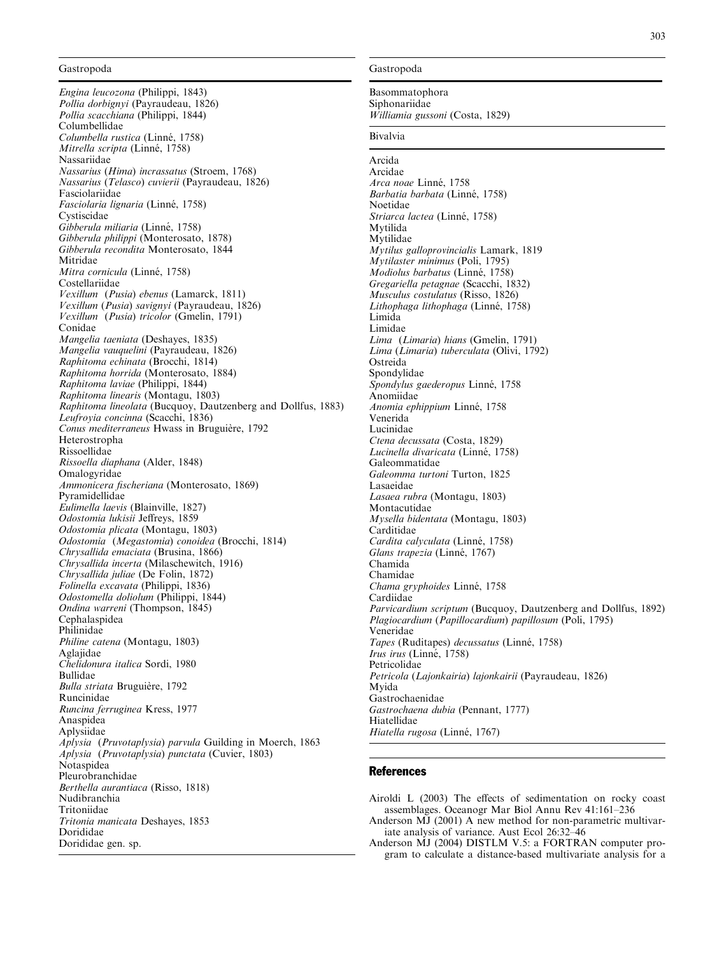#### Gastropoda

Engina leucozona (Philippi, 1843) Pollia dorbignyi (Payraudeau, 1826) Pollia scacchiana (Philippi, 1844) Columbellidae Columbella rustica (Linné, 1758) Mitrella scripta (Linné, 1758) Nassariidae Nassarius (Hima) incrassatus (Stroem, 1768) Nassarius (Telasco) cuvierii (Payraudeau, 1826) Fasciolariidae Fasciolaria lignaria (Linné, 1758) Cystiscidae Gibberula miliaria (Linné, 1758) Gibberula philippi (Monterosato, 1878) Gibberula recondita Monterosato, 1844 Mitridae Mitra cornicula (Linné, 1758) Costellariidae Vexillum (Pusia) ebenus (Lamarck, 1811) Vexillum (Pusia) savignyi (Payraudeau, 1826) Vexillum (Pusia) tricolor (Gmelin, 1791) Conidae Mangelia taeniata (Deshayes, 1835) Mangelia vauquelini (Payraudeau, 1826) Raphitoma echinata (Brocchi, 1814) Raphitoma horrida (Monterosato, 1884) Raphitoma laviae (Philippi, 1844) Raphitoma linearis (Montagu, 1803) Raphitoma lineolata (Bucquoy, Dautzenberg and Dollfus, 1883) Leufroyia concinna (Scacchi, 1836) Conus mediterraneus Hwass in Bruguière, 1792 Heterostropha Rissoellidae Rissoella diaphana (Alder, 1848) Omalogyridae Ammonicera fischeriana (Monterosato, 1869) Pyramidellidae Eulimella laevis (Blainville, 1827) Odostomia lukisii Jeffreys, 1859 Odostomia plicata (Montagu, 1803) Odostomia (Megastomia) conoidea (Brocchi, 1814) Chrysallida emaciata (Brusina, 1866) Chrysallida incerta (Milaschewitch, 1916) Chrysallida juliae (De Folin, 1872) Folinella excavata (Philippi, 1836) Odostomella doliolum (Philippi, 1844) Ondina warreni (Thompson, 1845) Cephalaspidea Philinidae Philine catena (Montagu, 1803) Aglajidae Chelidonura italica Sordi, 1980 Bullidae Bulla striata Bruguière, 1792 Runcinidae Runcina ferruginea Kress, 1977 Anaspidea Aplysiidae Aplysia (Pruvotaplysia) parvula Guilding in Moerch, 1863 Aplysia (Pruvotaplysia) punctata (Cuvier, 1803) Notaspidea Pleurobranchidae Berthella aurantiaca (Risso, 1818) Nudibranchia Tritoniidae Tritonia manicata Deshayes, 1853 Dorididae Dorididae gen. sp.

#### Gastropoda

#### Basommatophora

Siphonariidae Williamia gussoni (Costa, 1829)

## Bivalvia

Arcida Arcidae Arca noae Linné, 1758 Barbatia barbata (Linné, 1758) Noetidae Striarca lactea (Linné, 1758) Mytilida Mytilidae Mytilus galloprovincialis Lamark, 1819 Mytilaster minimus (Poli, 1795) Modiolus barbatus (Linné, 1758) Gregariella petagnae (Scacchi, 1832) Musculus costulatus (Risso, 1826) Lithophaga lithophaga (Linné, 1758) Limida Limidae Lima (Limaria) hians (Gmelin, 1791) Lima (Limaria) tuberculata (Olivi, 1792) Ostreida Spondylidae Spondylus gaederopus Linné, 1758 Anomiidae Anomia ephippium Linné, 1758 Venerida Lucinidae Ctena decussata (Costa, 1829) Lucinella divaricata (Linné, 1758) Galeommatidae Galeomma turtoni Turton, 1825 Lasaeidae Lasaea rubra (Montagu, 1803) Montacutidae Mysella bidentata (Montagu, 1803) Carditidae Cardita calvculata (Linné, 1758) Glans trapezia (Linné, 1767) Chamida Chamidae Chama gryphoides Linné, 1758 Cardiidae Parvicardium scriptum (Bucquoy, Dautzenberg and Dollfus, 1892) Plagiocardium (Papillocardium) papillosum (Poli, 1795) Veneridae Tapes (Ruditapes) decussatus (Linné, 1758) Irus irus (Linné, 1758) Petricolidae Petricola (Lajonkairia) lajonkairii (Payraudeau, 1826) Myida Gastrochaenidae Gastrochaena dubia (Pennant, 1777) Hiatellidae Hiatella rugosa (Linné, 1767)

# **References**

Airoldi L (2003) The effects of sedimentation on rocky coast assemblages. Oceanogr Mar Biol Annu Rev 41:161–236

- Anderson MJ (2001) A new method for non-parametric multivariate analysis of variance. Aust Ecol 26:32–46
- Anderson MJ (2004) DISTLM V.5: a FORTRAN computer program to calculate a distance-based multivariate analysis for a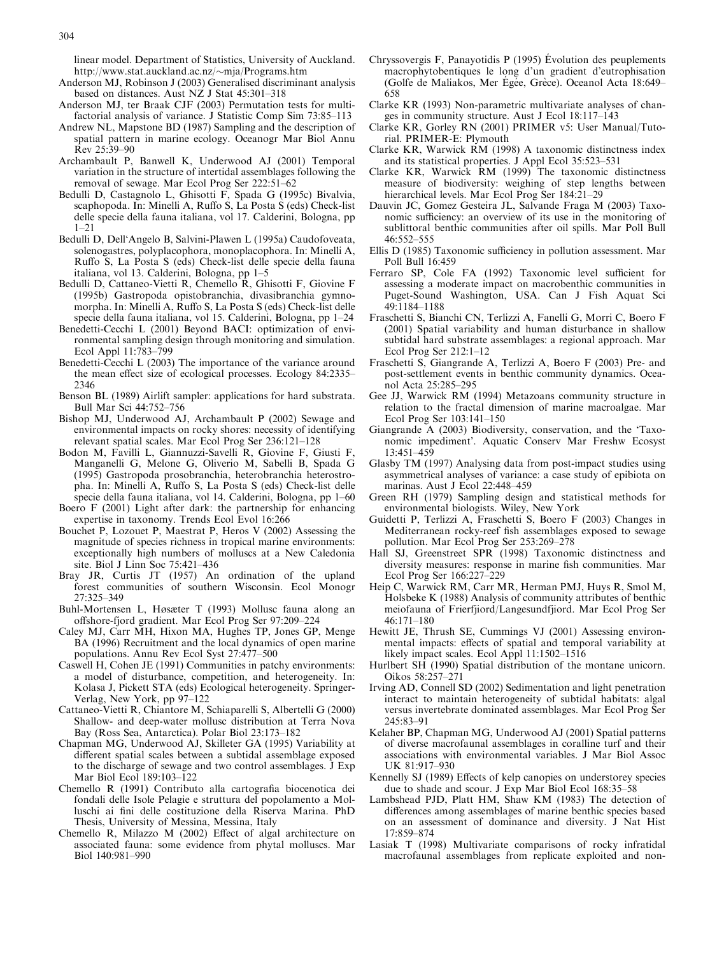linear model. Department of Statistics, University of Auckland. http://www.stat.auckland.ac.nz/~mja/Programs.htm

- Anderson MJ, Robinson J (2003) Generalised discriminant analysis based on distances. Aust NZ J Stat 45:301–318
- Anderson MJ, ter Braak CJF (2003) Permutation tests for multifactorial analysis of variance. J Statistic Comp Sim 73:85–113
- Andrew NL, Mapstone BD (1987) Sampling and the description of spatial pattern in marine ecology. Oceanogr Mar Biol Annu Rev 25:39–90
- Archambault P, Banwell K, Underwood AJ (2001) Temporal variation in the structure of intertidal assemblages following the removal of sewage. Mar Ecol Prog Ser 222:51–62
- Bedulli D, Castagnolo L, Ghisotti F, Spada G (1995c) Bivalvia, scaphopoda. In: Minelli A, Ruffo S, La Posta S (eds) Check-list delle specie della fauna italiana, vol 17. Calderini, Bologna, pp  $1 - 21$
- Bedulli D, Dell'Angelo B, Salvini-Plawen L (1995a) Caudofoveata, solenogastres, polyplacophora, monoplacophora. In: Minelli A, Ruffo S, La Posta S (eds) Check-list delle specie della fauna italiana, vol 13. Calderini, Bologna, pp 1–5
- Bedulli D, Cattaneo-Vietti R, Chemello R, Ghisotti F, Giovine F (1995b) Gastropoda opistobranchia, divasibranchia gymnomorpha. In: Minelli A, Ruffo S, La Posta S (eds) Check-list delle specie della fauna italiana, vol 15. Calderini, Bologna, pp 1–24
- Benedetti-Cecchi L (2001) Beyond BACI: optimization of environmental sampling design through monitoring and simulation. Ecol Appl 11:783–799
- Benedetti-Cecchi L (2003) The importance of the variance around the mean effect size of ecological processes. Ecology 84:2335– 2346
- Benson BL (1989) Airlift sampler: applications for hard substrata. Bull Mar Sci 44:752–756
- Bishop MJ, Underwood AJ, Archambault P (2002) Sewage and environmental impacts on rocky shores: necessity of identifying relevant spatial scales. Mar Ecol Prog Ser 236:121–128
- Bodon M, Favilli L, Giannuzzi-Savelli R, Giovine F, Giusti F, Manganelli G, Melone G, Oliverio M, Sabelli B, Spada G (1995) Gastropoda prosobranchia, heterobranchia heterostropha. In: Minelli A, Ruffo S, La Posta S (eds) Check-list delle specie della fauna italiana, vol 14. Calderini, Bologna, pp 1–60
- Boero F (2001) Light after dark: the partnership for enhancing expertise in taxonomy. Trends Ecol Evol 16:266
- Bouchet P, Lozouet P, Maestrat P, Heros V (2002) Assessing the magnitude of species richness in tropical marine environments: exceptionally high numbers of molluscs at a New Caledonia site. Biol J Linn Soc 75:421–436
- Bray JR, Curtis JT (1957) An ordination of the upland forest communities of southern Wisconsin. Ecol Monogr 27:325–349
- Buhl-Mortensen L, Høsæter T (1993) Mollusc fauna along an offshore-fjord gradient. Mar Ecol Prog Ser 97:209–224
- Caley MJ, Carr MH, Hixon MA, Hughes TP, Jones GP, Menge BA (1996) Recruitment and the local dynamics of open marine populations. Annu Rev Ecol Syst 27:477–500
- Caswell H, Cohen JE (1991) Communities in patchy environments: a model of disturbance, competition, and heterogeneity. In: Kolasa J, Pickett STA (eds) Ecological heterogeneity. Springer-Verlag, New York, pp 97–122
- Cattaneo-Vietti R, Chiantore M, Schiaparelli S, Albertelli G (2000) Shallow- and deep-water mollusc distribution at Terra Nova Bay (Ross Sea, Antarctica). Polar Biol 23:173–182
- Chapman MG, Underwood AJ, Skilleter GA (1995) Variability at different spatial scales between a subtidal assemblage exposed to the discharge of sewage and two control assemblages. J Exp Mar Biol Ecol 189:103–122
- Chemello R (1991) Contributo alla cartografia biocenotica dei fondali delle Isole Pelagie e struttura del popolamento a Molluschi ai fini delle costituzione della Riserva Marina. PhD Thesis, University of Messina, Messina, Italy
- Chemello R, Milazzo M (2002) Effect of algal architecture on associated fauna: some evidence from phytal molluscs. Mar Biol 140:981–990
- Chryssovergis F, Panayotidis P  $(1995)$  Evolution des peuplements macrophytobentiques le long d'un gradient d'eutrophisation (Golfe de Maliakos, Mer Égée, Grèce). Oceanol Acta 18:649– 658
- Clarke KR (1993) Non-parametric multivariate analyses of changes in community structure. Aust J Ecol 18:117–143
- Clarke KR, Gorley RN (2001) PRIMER v5: User Manual/Tutorial. PRIMER-E: Plymouth
- Clarke KR, Warwick RM (1998) A taxonomic distinctness index and its statistical properties. J Appl Ecol 35:523–531
- Clarke KR, Warwick RM (1999) The taxonomic distinctness measure of biodiversity: weighing of step lengths between hierarchical levels. Mar Ecol Prog Ser 184:21–29
- Dauvin JC, Gomez Gesteira JL, Salvande Fraga M (2003) Taxonomic sufficiency: an overview of its use in the monitoring of sublittoral benthic communities after oil spills. Mar Poll Bull 46:552–555
- Ellis D (1985) Taxonomic sufficiency in pollution assessment. Mar Poll Bull 16:459
- Ferraro SP, Cole FA (1992) Taxonomic level sufficient for assessing a moderate impact on macrobenthic communities in Puget-Sound Washington, USA. Can J Fish Aquat Sci 49:1184–1188
- Fraschetti S, Bianchi CN, Terlizzi A, Fanelli G, Morri C, Boero F (2001) Spatial variability and human disturbance in shallow subtidal hard substrate assemblages: a regional approach. Mar Ecol Prog Ser 212:1–12
- Fraschetti S, Giangrande A, Terlizzi A, Boero F (2003) Pre- and post-settlement events in benthic community dynamics. Oceanol Acta 25:285–295
- Gee JJ, Warwick RM (1994) Metazoans community structure in relation to the fractal dimension of marine macroalgae. Mar Ecol Prog Ser 103:141–150
- Giangrande A (2003) Biodiversity, conservation, and the 'Taxonomic impediment'. Aquatic Conserv Mar Freshw Ecosyst 13:451–459
- Glasby TM (1997) Analysing data from post-impact studies using asymmetrical analyses of variance: a case study of epibiota on marinas. Aust J Ecol 22:448–459
- Green RH (1979) Sampling design and statistical methods for environmental biologists. Wiley, New York
- Guidetti P, Terlizzi A, Fraschetti S, Boero F (2003) Changes in Mediterranean rocky-reef fish assemblages exposed to sewage pollution. Mar Ecol Prog Ser 253:269–278
- Hall SJ, Greenstreet SPR (1998) Taxonomic distinctness and diversity measures: response in marine fish communities. Mar Ecol Prog Ser 166:227–229
- Heip C, Warwick RM, Carr MR, Herman PMJ, Huys R, Smol M, Holsbeke K (1988) Analysis of community attributes of benthic meiofauna of Frierfjiord/Langesundfjiord. Mar Ecol Prog Ser 46:171–180
- Hewitt JE, Thrush SE, Cummings VJ (2001) Assessing environmental impacts: effects of spatial and temporal variability at likely impact scales. Ecol Appl 11:1502–1516
- Hurlbert SH (1990) Spatial distribution of the montane unicorn. Oikos 58:257–271
- Irving AD, Connell SD (2002) Sedimentation and light penetration interact to maintain heterogeneity of subtidal habitats: algal versus invertebrate dominated assemblages. Mar Ecol Prog Ser 245:83–91
- Kelaher BP, Chapman MG, Underwood AJ (2001) Spatial patterns of diverse macrofaunal assemblages in coralline turf and their associations with environmental variables. J Mar Biol Assoc UK 81:917–930
- Kennelly SJ (1989) Effects of kelp canopies on understorey species due to shade and scour. J Exp Mar Biol Ecol 168:35–58
- Lambshead PJD, Platt HM, Shaw KM (1983) The detection of differences among assemblages of marine benthic species based on an assessment of dominance and diversity. J Nat Hist 17:859–874
- Lasiak T (1998) Multivariate comparisons of rocky infratidal macrofaunal assemblages from replicate exploited and non-